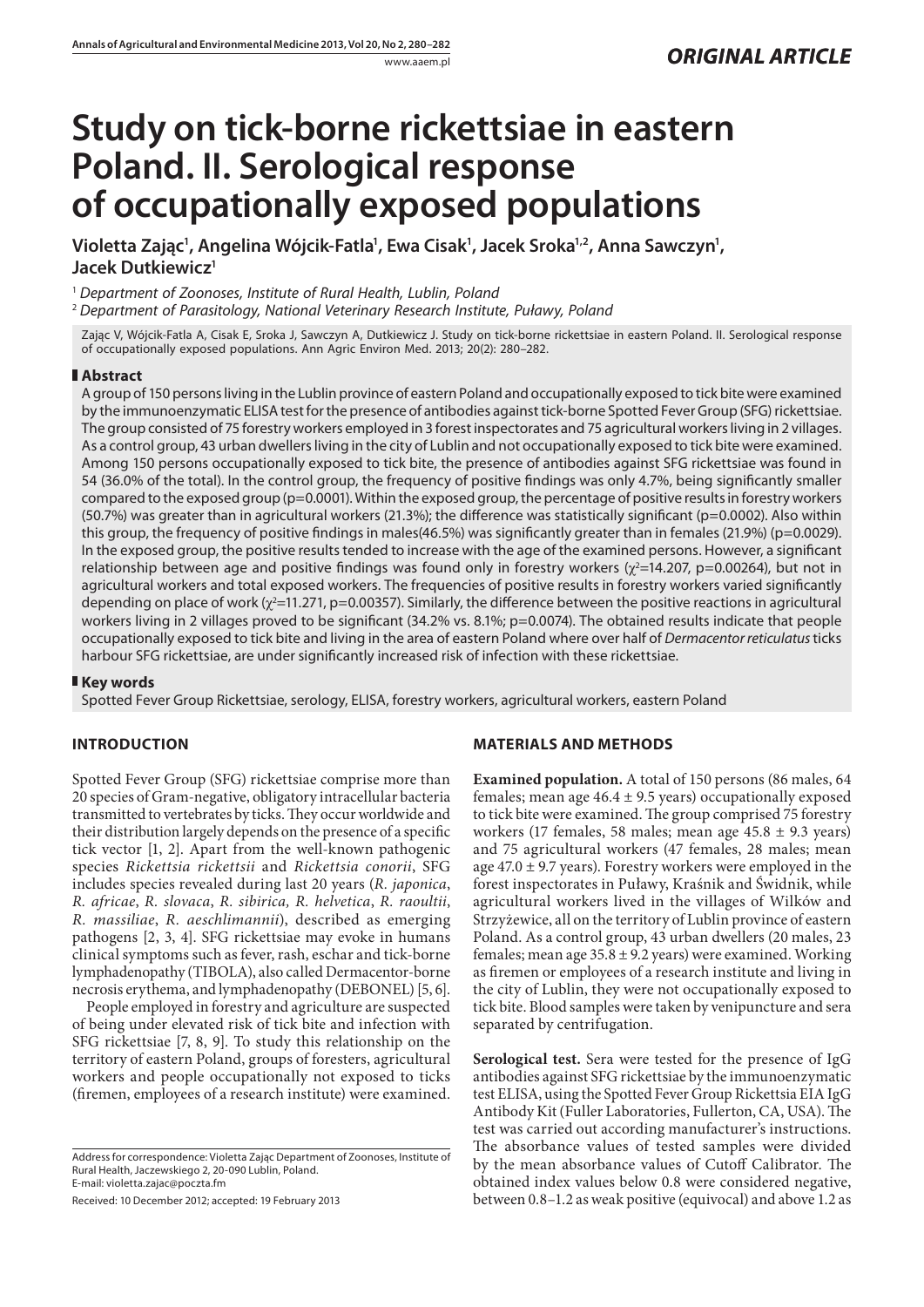# **Study on tick-borne rickettsiae in eastern Poland. II. Serological response of occupationally exposed populations**

Violetta Zając<sup>1</sup>, Angelina Wójcik-Fatla<sup>1</sup>, Ewa Cisak<sup>1</sup>, Jacek Sroka<sup>1,2</sup>, Anna Sawczyn<sup>1</sup>, **Jacek Dutkiewicz1**

<sup>1</sup> *Department of Zoonoses, Institute of Rural Health, Lublin, Poland*

<sup>2</sup> *Department of Parasitology, National Veterinary Research Institute, Puławy, Poland*

Zając V, Wójcik-Fatla A, Cisak E, Sroka J, Sawczyn A, Dutkiewicz J. Study on tick-borne rickettsiae in eastern Poland. II. Serological response of occupationally exposed populations. Ann Agric Environ Med. 2013; 20(2): 280–282.

## **Abstract**

A group of 150 persons living in the Lublin province of eastern Poland and occupationally exposed to tick bite were examined by the immunoenzymatic ELISA test for the presence of antibodies against tick-borne Spotted Fever Group (SFG) rickettsiae. The group consisted of 75 forestry workers employed in 3 forest inspectorates and 75 agricultural workers living in 2 villages. As a control group, 43 urban dwellers living in the city of Lublin and not occupationally exposed to tick bite were examined. Among 150 persons occupationally exposed to tick bite, the presence of antibodies against SFG rickettsiae was found in 54 (36.0% of the total). In the control group, the frequency of positive findings was only 4.7%, being significantly smaller compared to the exposed group (p=0.0001). Within the exposed group, the percentage of positive results in forestry workers (50.7%) was greater than in agricultural workers (21.3%); the difference was statistically significant (p=0.0002). Also within this group, the frequency of positive findings in males(46.5%) was significantly greater than in females (21.9%) (p=0.0029). In the exposed group, the positive results tended to increase with the age of the examined persons. However, a significant relationship between age and positive findings was found only in forestry workers ( $\chi^2$ =14.207, p=0.00264), but not in agricultural workers and total exposed workers. The frequencies of positive results in forestry workers varied significantly depending on place of work ( $\chi^2$ =11.271, p=0.00357). Similarly, the difference between the positive reactions in agricultural workers living in 2 villages proved to be significant (34.2% vs. 8.1%; p=0.0074). The obtained results indicate that people occupationally exposed to tick bite and living in the area of eastern Poland where over half of *Dermacentor reticulatus* ticks harbour SFG rickettsiae, are under significantly increased risk of infection with these rickettsiae.

## **Key words**

Spotted Fever Group Rickettsiae, serology, ELISA, forestry workers, agricultural workers, eastern Poland

## **INTRODUCTION**

Spotted Fever Group (SFG) rickettsiae comprise more than 20 species of Gram-negative, obligatory intracellular bacteria transmitted to vertebrates by ticks. They occur worldwide and their distribution largely depends on the presence of a specific tick vector [1, 2]. Apart from the well-known pathogenic species *Rickettsia rickettsii* and *Rickettsia conorii*, SFG includes species revealed during last 20 years (*R. japonica*, *R. africae*, *R. slovaca*, *R. sibirica, R. helvetica*, *R. raoultii*, *R. massiliae*, *R. aeschlimannii*), described as emerging pathogens [2, 3, 4]. SFG rickettsiae may evoke in humans clinical symptoms such as fever, rash, eschar and tick-borne lymphadenopathy (TIBOLA), also called Dermacentor-borne necrosis erythema, and lymphadenopathy (DEBONEL) [5, 6].

People employed in forestry and agriculture are suspected of being under elevated risk of tick bite and infection with SFG rickettsiae [7, 8, 9]. To study this relationship on the territory of eastern Poland, groups of foresters, agricultural workers and people occupationally not exposed to ticks (firemen, employees of a research institute) were examined.

Address for correspondence: Violetta Zając Department of Zoonoses, Institute of Rural Health, Jaczewskiego 2, 20-090 Lublin, Poland. E-mail: violetta.zajac@poczta.fm

Received: 10 December 2012; accepted: 19 February 2013

## **MATERIALS AND METHODS**

**Examined population.** A total of 150 persons (86 males, 64 females; mean age  $46.4 \pm 9.5$  years) occupationally exposed to tick bite were examined. The group comprised 75 forestry workers (17 females, 58 males; mean age  $45.8 \pm 9.3$  years) and 75 agricultural workers (47 females, 28 males; mean age  $47.0 \pm 9.7$  years). Forestry workers were employed in the forest inspectorates in Puławy, Kraśnik and Świdnik, while agricultural workers lived in the villages of Wilków and Strzyżewice, all on the territory of Lublin province of eastern Poland. As a control group, 43 urban dwellers (20 males, 23 females; mean age  $35.8 \pm 9.2$  years) were examined. Working as firemen or employees of a research institute and living in the city of Lublin, they were not occupationally exposed to tick bite. Blood samples were taken by venipuncture and sera separated by centrifugation.

**Serological test.** Sera were tested for the presence of IgG antibodies against SFG rickettsiae by the immunoenzymatic test ELISA, using the Spotted Fever Group Rickettsia EIA IgG Antibody Kit (Fuller Laboratories, Fullerton, CA, USA). The test was carried out according manufacturer's instructions. The absorbance values of tested samples were divided by the mean absorbance values of Cutoff Calibrator. The obtained index values below 0.8 were considered negative, between 0.8–1.2 as weak positive (equivocal) and above 1.2 as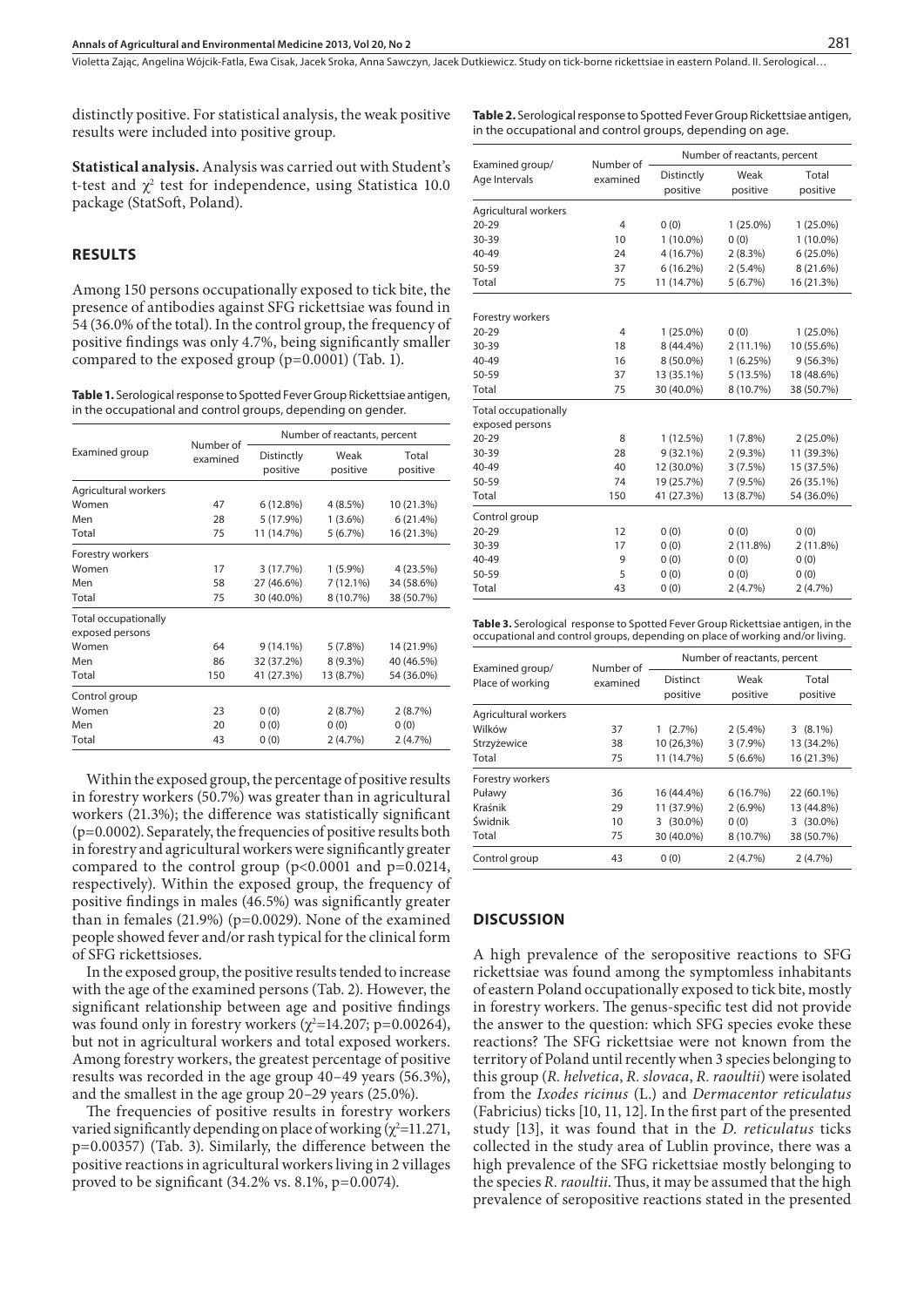Violetta Zając, Angelina Wójcik-Fatla, Ewa Cisak, Jacek Sroka, Anna Sawczyn, Jacek Dutkiewicz, Study on tick-borne rickettsiae in eastern Poland, II. Serological…

distinctly positive. For statistical analysis, the weak positive results were included into positive group.

**Table 2.** Serological response to Spotted Fever Group Rickettsiae antigen, in the occupational and control groups, depending on age.

**Statistical analysis.** Analysis was carried out with Student's t-test and  $\chi^2$  test for independence, using Statistica 10.0 package (StatSoft, Poland).

#### **RESULTS**

Among 150 persons occupationally exposed to tick bite, the presence of antibodies against SFG rickettsiae was found in 54 (36.0% of the total). In the control group, the frequency of positive findings was only 4.7%, being significantly smaller compared to the exposed group (p=0.0001) (Tab. 1).

**Table 1.** Serological response to Spotted Fever Group Rickettsiae antigen, in the occupational and control groups, depending on gender.

| Examined group                                 | Number of<br>examined | Number of reactants, percent |                  |                   |
|------------------------------------------------|-----------------------|------------------------------|------------------|-------------------|
|                                                |                       | Distinctly<br>positive       | Weak<br>positive | Total<br>positive |
| Agricultural workers                           |                       |                              |                  |                   |
| Women                                          | 47                    | 6(12.8%)                     | $4(8.5\%)$       | 10 (21.3%)        |
| Men                                            | 28                    | 5 (17.9%)                    | $1(3.6\%)$       | 6(21.4%)          |
| Total                                          | 75                    | 11 (14.7%)                   | 5(6.7%)          | 16 (21.3%)        |
| Forestry workers                               |                       |                              |                  |                   |
| Women                                          | 17                    | 3(17.7%)                     | $1(5.9\%)$       | 4 (23.5%)         |
| Men                                            | 58                    | 27 (46.6%)                   | $7(12.1\%)$      | 34 (58.6%)        |
| Total                                          | 75                    | 30 (40.0%)                   | 8 (10.7%)        | 38 (50.7%)        |
| <b>Total occupationally</b><br>exposed persons |                       |                              |                  |                   |
| Women                                          | 64                    | $9(14.1\%)$                  | 5(7.8%)          | 14 (21.9%)        |
| Men                                            | 86                    | 32 (37.2%)                   | $8(9.3\%)$       | 40 (46.5%)        |
| Total                                          | 150                   | 41 (27.3%)                   | 13 (8.7%)        | 54 (36.0%)        |
| Control group                                  |                       |                              |                  |                   |
| Women                                          | 23                    | 0(0)                         | 2(8.7%)          | 2(8.7%)           |
| Men                                            | 20                    | 0(0)                         | 0(0)             | 0(0)              |
| Total                                          | 43                    | 0(0)                         | 2(4.7%)          | $2(4.7\%)$        |

Within the exposed group, the percentage of positive results in forestry workers (50.7%) was greater than in agricultural workers (21.3%); the difference was statistically significant (p=0.0002). Separately, the frequencies of positive results both in forestry and agricultural workers were significantly greater compared to the control group  $(p<0.0001$  and  $p=0.0214$ , respectively). Within the exposed group, the frequency of positive findings in males (46.5%) was significantly greater than in females (21.9%) (p=0.0029). None of the examined people showed fever and/or rash typical for the clinical form of SFG rickettsioses.

In the exposed group, the positive results tended to increase with the age of the examined persons (Tab. 2). However, the significant relationship between age and positive findings was found only in forestry workers  $(\chi^2=14.207; p=0.00264)$ , but not in agricultural workers and total exposed workers. Among forestry workers, the greatest percentage of positive results was recorded in the age group 40–49 years (56.3%), and the smallest in the age group 20–29 years (25.0%).

The frequencies of positive results in forestry workers varied significantly depending on place of working  $(\chi^2=11.271,$ p=0.00357) (Tab. 3). Similarly, the difference between the positive reactions in agricultural workers living in 2 villages proved to be significant (34.2% vs. 8.1%, p=0.0074).

|                                  |                       | Number of reactants, percent |             |             |
|----------------------------------|-----------------------|------------------------------|-------------|-------------|
| Examined group/<br>Age Intervals | Number of<br>examined | Distinctly                   | Weak        | Total       |
|                                  |                       | positive                     | positive    | positive    |
| Agricultural workers             |                       |                              |             |             |
| $20 - 29$                        | 4                     | 0(0)                         | $1(25.0\%)$ | $1(25.0\%)$ |
| 30-39                            | 10                    | $1(10.0\%)$                  | 0(0)        | $1(10.0\%)$ |
| 40-49                            | 24                    | 4 (16.7%)                    | $2(8.3\%)$  | $6(25.0\%)$ |
| 50-59                            | 37                    | 6(16.2%)                     | $2(5.4\%)$  | 8 (21.6%)   |
| Total                            | 75                    | 11 (14.7%)                   | 5(6.7%)     | 16 (21.3%)  |
| Forestry workers                 |                       |                              |             |             |
| $20 - 29$                        | $\overline{4}$        | $1(25.0\%)$                  | 0(0)        | $1(25.0\%)$ |
| 30-39                            | 18                    | 8 (44.4%)                    | $2(11.1\%)$ | 10 (55.6%)  |
| 40-49                            | 16                    | 8 (50.0%)                    | 1(6.25%)    | 9(56.3%)    |
| 50-59                            | 37                    | 13 (35.1%)                   | 5(13.5%)    | 18 (48.6%)  |
| Total                            | 75                    | 30 (40.0%)                   | 8 (10.7%)   | 38 (50.7%)  |
| <b>Total occupationally</b>      |                       |                              |             |             |
| exposed persons                  |                       |                              |             |             |
| $20 - 29$                        | 8                     | 1(12.5%)                     | $1(7.8\%)$  | $2(25.0\%)$ |
| 30-39                            | 28                    | $9(32.1\%)$                  | $2(9.3\%)$  | 11 (39.3%)  |
| 40-49                            | 40                    | 12 (30.0%)                   | 3(7.5%)     | 15 (37.5%)  |
| 50-59                            | 74                    | 19 (25.7%)                   | $7(9.5\%)$  | 26 (35.1%)  |
| Total                            | 150                   | 41 (27.3%)                   | 13 (8.7%)   | 54 (36.0%)  |
| Control group                    |                       |                              |             |             |
| $20 - 29$                        | 12                    | 0(0)                         | 0(0)        | 0(0)        |
| 30-39                            | 17                    | 0(0)                         | 2(11.8%)    | 2 (11.8%)   |
| 40-49                            | 9                     | 0(0)                         | 0(0)        | 0(0)        |
| 50-59                            | 5                     | 0(0)                         | 0(0)        | 0(0)        |
| Total                            | 43                    | 0(0)                         | 2(4.7%)     | 2(4.7%)     |

**Table 3.** Serological response to Spotted Fever Group Rickettsiae antigen, in the occupational and control groups, depending on place of working and/or living.

| Examined group/<br>Place of working | Number of<br>examined | Number of reactants, percent |                  |                   |
|-------------------------------------|-----------------------|------------------------------|------------------|-------------------|
|                                     |                       | Distinct<br>positive         | Weak<br>positive | Total<br>positive |
| Agricultural workers                |                       |                              |                  |                   |
| Wilków                              | 37                    | (2.7%)                       | $2(5.4\%)$       | $3(8.1\%)$        |
| Strzyżewice                         | 38                    | 10 (26.3%)                   | $3(7.9\%)$       | 13 (34.2%)        |
| Total                               | 75                    | 11 (14.7%)                   | $5(6.6\%)$       | 16 (21.3%)        |
| Forestry workers                    |                       |                              |                  |                   |
| Puławy                              | 36                    | 16 (44.4%)                   | 6(16.7%)         | 22 (60.1%)        |
| Kraśnik                             | 29                    | 11 (37.9%)                   | $2(6.9\%)$       | 13 (44.8%)        |
| Świdnik                             | 10                    | 3 (30.0%)                    | 0(0)             | $3(30.0\%)$       |
| Total                               | 75                    | 30 (40.0%)                   | 8 (10.7%)        | 38 (50.7%)        |
| Control group                       | 43                    | 0(0)                         | 2(4.7%)          | 2(4.7%)           |

#### **DISCUSSION**

A high prevalence of the seropositive reactions to SFG rickettsiae was found among the symptomless inhabitants of eastern Poland occupationally exposed to tick bite, mostly in forestry workers. The genus-specific test did not provide the answer to the question: which SFG species evoke these reactions? The SFG rickettsiae were not known from the territory of Poland until recently when 3 species belonging to this group (*R. helvetica*, *R. slovaca*, *R. raoultii*) were isolated from the *Ixodes ricinus* (L.) and *Dermacentor reticulatus*  (Fabricius) ticks [10, 11, 12]. In the first part of the presented study [13], it was found that in the *D. reticulatus* ticks collected in the study area of Lublin province, there was a high prevalence of the SFG rickettsiae mostly belonging to the species *R. raoultii*. Thus, it may be assumed that the high prevalence of seropositive reactions stated in the presented